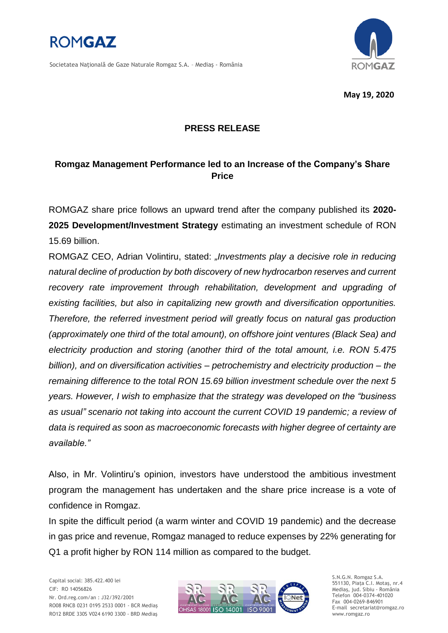

Societatea Naţională de Gaze Naturale Romgaz S.A. – Mediaş - România



**May 19, 2020**

## **PRESS RELEASE**

## **Romgaz Management Performance led to an Increase of the Company's Share Price**

ROMGAZ share price follows an upward trend after the company published its **2020- 2025 Development/Investment Strategy** estimating an investment schedule of RON 15.69 billion.

ROMGAZ CEO, Adrian Volintiru, stated: *"Investments play a decisive role in reducing natural decline of production by both discovery of new hydrocarbon reserves and current*  recovery rate improvement through rehabilitation, development and upgrading of *existing facilities, but also in capitalizing new growth and diversification opportunities. Therefore, the referred investment period will greatly focus on natural gas production (approximately one third of the total amount), on offshore joint ventures (Black Sea) and electricity production and storing (another third of the total amount, i.e. RON 5.475 billion), and on diversification activities – petrochemistry and electricity production – the remaining difference to the total RON 15.69 billion investment schedule over the next 5 years. However, I wish to emphasize that the strategy was developed on the "business as usual" scenario not taking into account the current COVID 19 pandemic; a review of data is required as soon as macroeconomic forecasts with higher degree of certainty are available."*

Also, in Mr. Volintiru's opinion, investors have understood the ambitious investment program the management has undertaken and the share price increase is a vote of confidence in Romgaz.

In spite the difficult period (a warm winter and COVID 19 pandemic) and the decrease in gas price and revenue, Romgaz managed to reduce expenses by 22% generating for Q1 a profit higher by RON 114 million as compared to the budget.

Capital social: 385.422.400 lei CIF: RO 14056826 Nr. Ord.reg.com/an : J32/392/2001 RO08 RNCB 0231 0195 2533 0001 - BCR Mediaş RO12 BRDE 330S V024 6190 3300 - BRD Mediaş



S.N.G.N. Romgaz S.A. 551130, Piața C.I. Motaş, nr.4 Mediaş, jud. Sibiu - România Telefon 004-0374-401020 Fax 004-0269-846901 E-mail secretariat@romgaz.ro www.romgaz.ro